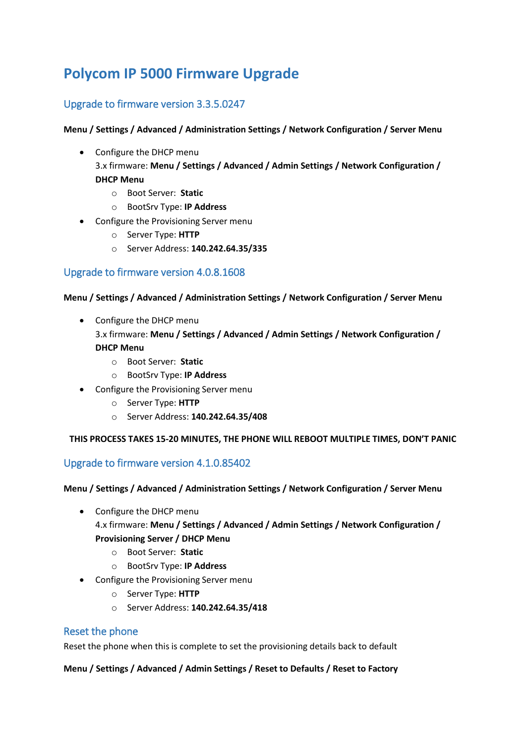# **Polycom IP 5000 Firmware Upgrade**

# Upgrade to firmware version 3.3.5.0247

**Menu / Settings / Advanced / Administration Settings / Network Configuration / Server Menu**

- Configure the DHCP menu 3.x firmware: **Menu / Settings / Advanced / Admin Settings / Network Configuration / DHCP Menu**
	- o Boot Server: **Static**
	- o BootSrv Type: **IP Address**
- Configure the Provisioning Server menu
	- o Server Type: **HTTP**
	- o Server Address: **140.242.64.35/335**

## Upgrade to firmware version 4.0.8.1608

**Menu / Settings / Advanced / Administration Settings / Network Configuration / Server Menu**

- Configure the DHCP menu 3.x firmware: **Menu / Settings / Advanced / Admin Settings / Network Configuration / DHCP Menu**
	- o Boot Server: **Static**
	- o BootSrv Type: **IP Address**
- Configure the Provisioning Server menu
	- o Server Type: **HTTP**
	- o Server Address: **140.242.64.35/408**

**THIS PROCESS TAKES 15-20 MINUTES, THE PHONE WILL REBOOT MULTIPLE TIMES, DON'T PANIC**

Upgrade to firmware version 4.1.0.85402

**Menu / Settings / Advanced / Administration Settings / Network Configuration / Server Menu**

- Configure the DHCP menu 4.x firmware: **Menu / Settings / Advanced / Admin Settings / Network Configuration / Provisioning Server / DHCP Menu**
	- o Boot Server: **Static**
	- o BootSrv Type: **IP Address**
- Configure the Provisioning Server menu
	- o Server Type: **HTTP**
	- o Server Address: **140.242.64.35/418**

## Reset the phone

Reset the phone when this is complete to set the provisioning details back to default

**Menu / Settings / Advanced / Admin Settings / Reset to Defaults / Reset to Factory**